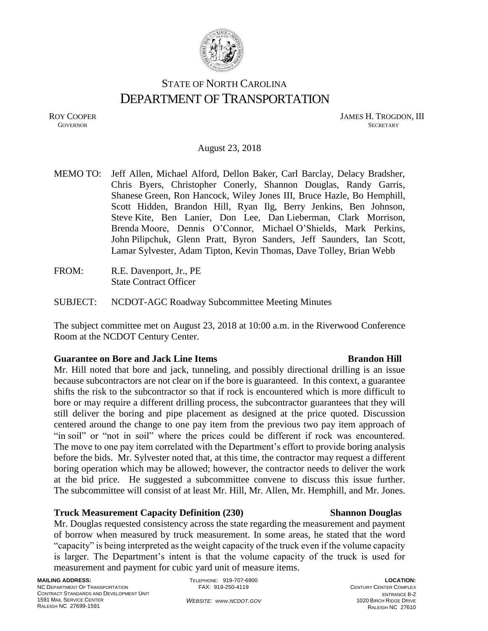

# STATE OF NORTH CAROLINA DEPARTMENT OF TRANSPORTATION

ROY COOPER JAMES H. TROGDON, III **GOVERNOR** SECRETARY

#### August 23, 2018

MEMO TO: Jeff Allen, Michael Alford, Dellon Baker, Carl Barclay, Delacy Bradsher, Chris Byers, Christopher Conerly, Shannon Douglas, Randy Garris, Shanese Green, Ron Hancock, Wiley Jones III, Bruce Hazle, Bo Hemphill, Scott Hidden, Brandon Hill, Ryan Ilg, Berry Jenkins, Ben Johnson, Steve Kite, Ben Lanier, Don Lee, Dan Lieberman, Clark Morrison, Brenda Moore, Dennis O'Connor, Michael O'Shields, Mark Perkins, John Pilipchuk, Glenn Pratt, Byron Sanders, Jeff Saunders, Ian Scott, Lamar Sylvester, Adam Tipton, Kevin Thomas, Dave Tolley, Brian Webb

FROM: R.E. Davenport, Jr., PE State Contract Officer

SUBJECT: NCDOT-AGC Roadway Subcommittee Meeting Minutes

The subject committee met on August 23, 2018 at 10:00 a.m. in the Riverwood Conference Room at the NCDOT Century Center.

#### **Guarantee on Bore and Jack Line Items Brandon Hill**

Mr. Hill noted that bore and jack, tunneling, and possibly directional drilling is an issue because subcontractors are not clear on if the bore is guaranteed. In this context, a guarantee shifts the risk to the subcontractor so that if rock is encountered which is more difficult to bore or may require a different drilling process, the subcontractor guarantees that they will still deliver the boring and pipe placement as designed at the price quoted. Discussion centered around the change to one pay item from the previous two pay item approach of "in soil" or "not in soil" where the prices could be different if rock was encountered. The move to one pay item correlated with the Department's effort to provide boring analysis before the bids. Mr. Sylvester noted that, at this time, the contractor may request a different boring operation which may be allowed; however, the contractor needs to deliver the work at the bid price. He suggested a subcommittee convene to discuss this issue further. The subcommittee will consist of at least Mr. Hill, Mr. Allen, Mr. Hemphill, and Mr. Jones.

### **Truck Measurement Capacity Definition (230) Shannon Douglas**

## Mr. Douglas requested consistency across the state regarding the measurement and payment of borrow when measured by truck measurement. In some areas, he stated that the word "capacity" is being interpreted as the weight capacity of the truck even if the volume capacity is larger. The Department's intent is that the volume capacity of the truck is used for measurement and payment for cubic yard unit of measure items.

TELEPHONE: 919-707-6900 FAX: 919-250-4119

*WEBSITE: WWW.NCDOT.GOV*

#### **LOCATION:** CENTURY CENTER COMPLEX ENTRANCE B-2 1020 BIRCH RIDGE DRIVE RALEIGH NC 27610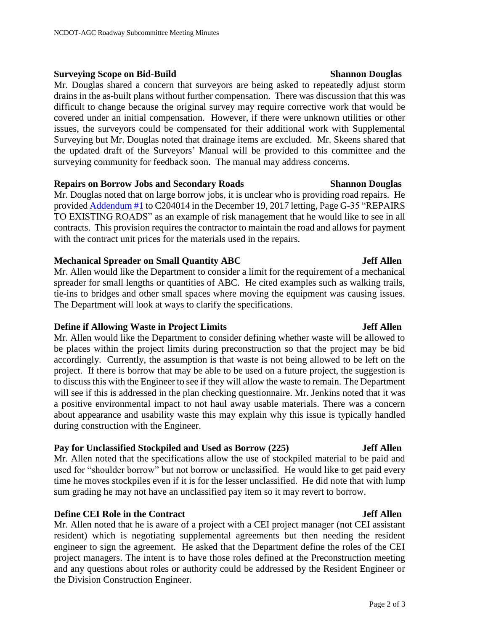#### **Surveying Scope on Bid-Build Shannon Douglas Shannon Douglas**

Mr. Douglas shared a concern that surveyors are being asked to repeatedly adjust storm drains in the as-built plans without further compensation. There was discussion that this was difficult to change because the original survey may require corrective work that would be covered under an initial compensation. However, if there were unknown utilities or other issues, the surveyors could be compensated for their additional work with Supplemental Surveying but Mr. Douglas noted that drainage items are excluded. Mr. Skeens shared that the updated draft of the Surveyors' Manual will be provided to this committee and the surveying community for feedback soon. The manual may address concerns.

### **Repairs on Borrow Jobs and Secondary Roads Shannon Douglas**

Mr. Douglas noted that on large borrow jobs, it is unclear who is providing road repairs. He provide[d Addendum](https://xfer.services.ncdot.gov/dsplan/2017%20Highway%20Letting/12-19-17/Plans%20and%20Proposals/Lenoir_R-5703_C204014/Lenoir%20R-5703%20C204014%20Addendum%20No.%201%20.pdf) #1 to C204014 in the December 19, 2017 letting, Page G-35 "REPAIRS TO EXISTING ROADS" as an example of risk management that he would like to see in all contracts. This provision requires the contractor to maintain the road and allows for payment with the contract unit prices for the materials used in the repairs.

#### **Mechanical Spreader on Small Quantity ABC Jeff Allen**

Mr. Allen would like the Department to consider a limit for the requirement of a mechanical spreader for small lengths or quantities of ABC. He cited examples such as walking trails, tie-ins to bridges and other small spaces where moving the equipment was causing issues. The Department will look at ways to clarify the specifications.

### **Define if Allowing Waste in Project Limits Jeff Allen**

Mr. Allen would like the Department to consider defining whether waste will be allowed to be places within the project limits during preconstruction so that the project may be bid accordingly. Currently, the assumption is that waste is not being allowed to be left on the project. If there is borrow that may be able to be used on a future project, the suggestion is to discuss this with the Engineer to see if they will allow the waste to remain. The Department will see if this is addressed in the plan checking questionnaire. Mr. Jenkins noted that it was a positive environmental impact to not haul away usable materials. There was a concern about appearance and usability waste this may explain why this issue is typically handled during construction with the Engineer.

### **Pay for Unclassified Stockpiled and Used as Borrow (225) Jeff Allen**

Mr. Allen noted that the specifications allow the use of stockpiled material to be paid and used for "shoulder borrow" but not borrow or unclassified. He would like to get paid every time he moves stockpiles even if it is for the lesser unclassified. He did note that with lump sum grading he may not have an unclassified pay item so it may revert to borrow.

### **Define CEI Role in the Contract Jeff Allen**

Mr. Allen noted that he is aware of a project with a CEI project manager (not CEI assistant resident) which is negotiating supplemental agreements but then needing the resident engineer to sign the agreement. He asked that the Department define the roles of the CEI project managers. The intent is to have those roles defined at the Preconstruction meeting and any questions about roles or authority could be addressed by the Resident Engineer or the Division Construction Engineer.

#### Page 2 of 3